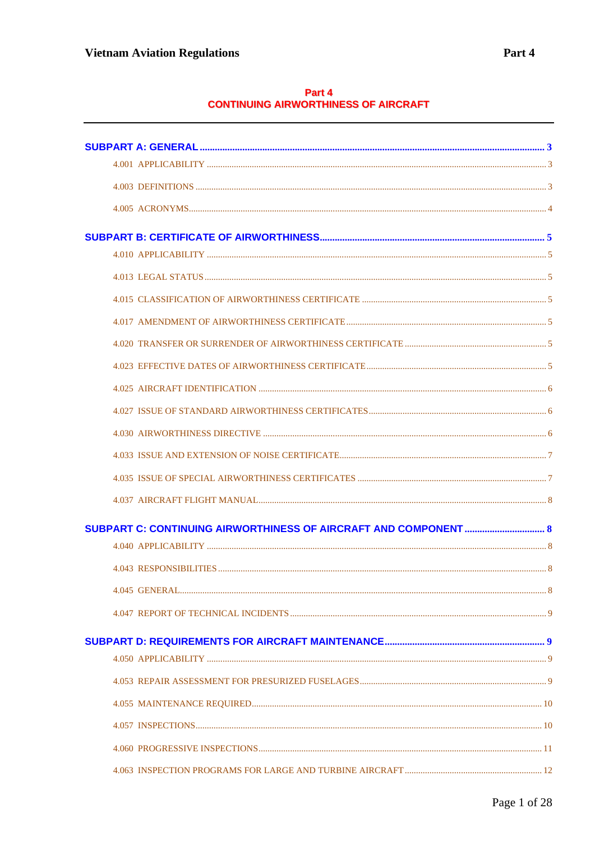# Part 4<br>CONTINUING AIRWORTHINESS OF AIRCRAFT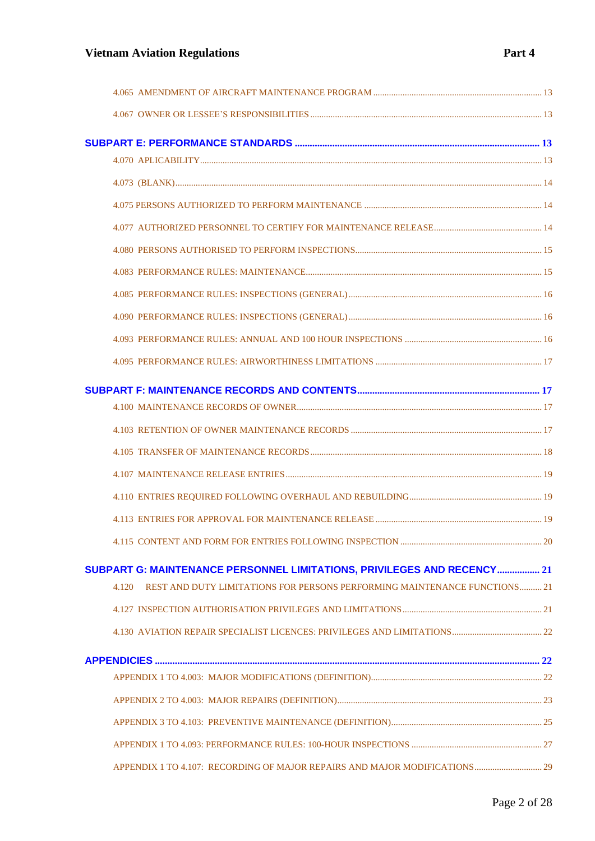# **Vietnam Aviation Regulations** *Part 4*

| SUBPART G: MAINTENANCE PERSONNEL LIMITATIONS, PRIVILEGES AND RECENCY 21            |  |
|------------------------------------------------------------------------------------|--|
| REST AND DUTY LIMITATIONS FOR PERSONS PERFORMING MAINTENANCE FUNCTIONS 21<br>4.120 |  |
|                                                                                    |  |
|                                                                                    |  |
|                                                                                    |  |
|                                                                                    |  |
|                                                                                    |  |
|                                                                                    |  |
|                                                                                    |  |
| APPENDIX 1 TO 4.107: RECORDING OF MAJOR REPAIRS AND MAJOR MODIFICATIONS 29         |  |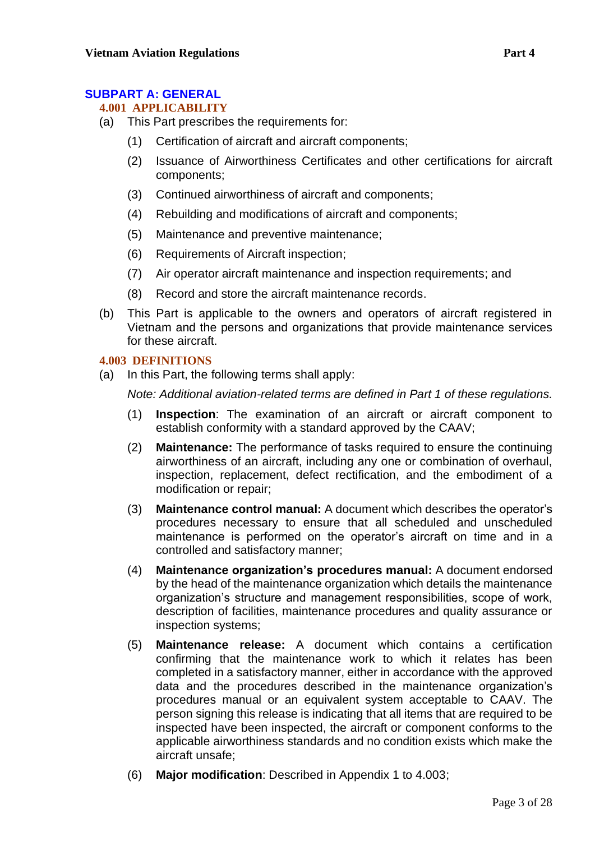# <span id="page-2-1"></span><span id="page-2-0"></span>**SUBPART A: GENERAL**

# **4.001 APPLICABILITY**

- (a) This Part prescribes the requirements for:
	- (1) Certification of aircraft and aircraft components;
	- (2) Issuance of Airworthiness Certificates and other certifications for aircraft components;
	- (3) Continued airworthiness of aircraft and components;
	- (4) Rebuilding and modifications of aircraft and components;
	- (5) Maintenance and preventive maintenance;
	- (6) Requirements of Aircraft inspection;
	- (7) Air operator aircraft maintenance and inspection requirements; and
	- (8) Record and store the aircraft maintenance records.
- (b) This Part is applicable to the owners and operators of aircraft registered in Vietnam and the persons and organizations that provide maintenance services for these aircraft.

# <span id="page-2-2"></span>**4.003 DEFINITIONS**

(a) In this Part, the following terms shall apply:

*Note: Additional aviation-related terms are defined in Part 1 of these regulations.*

- (1) **Inspection**: The examination of an aircraft or aircraft component to establish conformity with a standard approved by the CAAV;
- (2) **Maintenance:** The performance of tasks required to ensure the continuing airworthiness of an aircraft, including any one or combination of overhaul, inspection, replacement, defect rectification, and the embodiment of a modification or repair;
- (3) **Maintenance control manual:** A document which describes the operator's procedures necessary to ensure that all scheduled and unscheduled maintenance is performed on the operator's aircraft on time and in a controlled and satisfactory manner;
- (4) **Maintenance organization's procedures manual:** A document endorsed by the head of the maintenance organization which details the maintenance organization's structure and management responsibilities, scope of work, description of facilities, maintenance procedures and quality assurance or inspection systems;
- (5) **Maintenance release:** A document which contains a certification confirming that the maintenance work to which it relates has been completed in a satisfactory manner, either in accordance with the approved data and the procedures described in the maintenance organization's procedures manual or an equivalent system acceptable to CAAV. The person signing this release is indicating that all items that are required to be inspected have been inspected, the aircraft or component conforms to the applicable airworthiness standards and no condition exists which make the aircraft unsafe;
- (6) **Major modification**: Described in Appendix 1 to 4.003;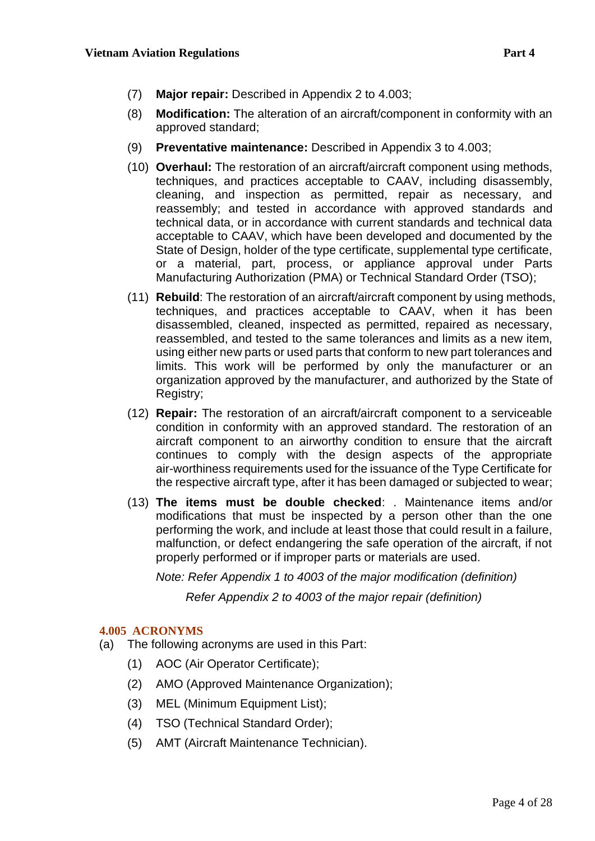- (7) **Major repair:** Described in Appendix 2 to 4.003;
- (8) **Modification:** The alteration of an aircraft/component in conformity with an approved standard;
- (9) **Preventative maintenance:** Described in Appendix 3 to 4.003;
- (10) **Overhaul:** The restoration of an aircraft/aircraft component using methods, techniques, and practices acceptable to CAAV, including disassembly, cleaning, and inspection as permitted, repair as necessary, and reassembly; and tested in accordance with approved standards and technical data, or in accordance with current standards and technical data acceptable to CAAV, which have been developed and documented by the State of Design, holder of the type certificate, supplemental type certificate, or a material, part, process, or appliance approval under Parts Manufacturing Authorization (PMA) or Technical Standard Order (TSO);
- (11) **Rebuild**: The restoration of an aircraft/aircraft component by using methods, techniques, and practices acceptable to CAAV, when it has been disassembled, cleaned, inspected as permitted, repaired as necessary, reassembled, and tested to the same tolerances and limits as a new item, using either new parts or used parts that conform to new part tolerances and limits. This work will be performed by only the manufacturer or an organization approved by the manufacturer, and authorized by the State of Registry;
- (12) **Repair:** The restoration of an aircraft/aircraft component to a serviceable condition in conformity with an approved standard. The restoration of an aircraft component to an airworthy condition to ensure that the aircraft continues to comply with the design aspects of the appropriate air-worthiness requirements used for the issuance of the Type Certificate for the respective aircraft type, after it has been damaged or subjected to wear;
- (13) **The items must be double checked**: . Maintenance items and/or modifications that must be inspected by a person other than the one performing the work, and include at least those that could result in a failure, malfunction, or defect endangering the safe operation of the aircraft, if not properly performed or if improper parts or materials are used.

*Note: Refer Appendix 1 to 4003 of the major modification (definition)*

 *Refer Appendix 2 to 4003 of the major repair (definition)*

## <span id="page-3-0"></span>**4.005 ACRONYMS**

- (a) The following acronyms are used in this Part:
	- (1) AOC (Air Operator Certificate);
	- (2) AMO (Approved Maintenance Organization);
	- (3) MEL (Minimum Equipment List);
	- (4) TSO (Technical Standard Order);
	- (5) AMT (Aircraft Maintenance Technician).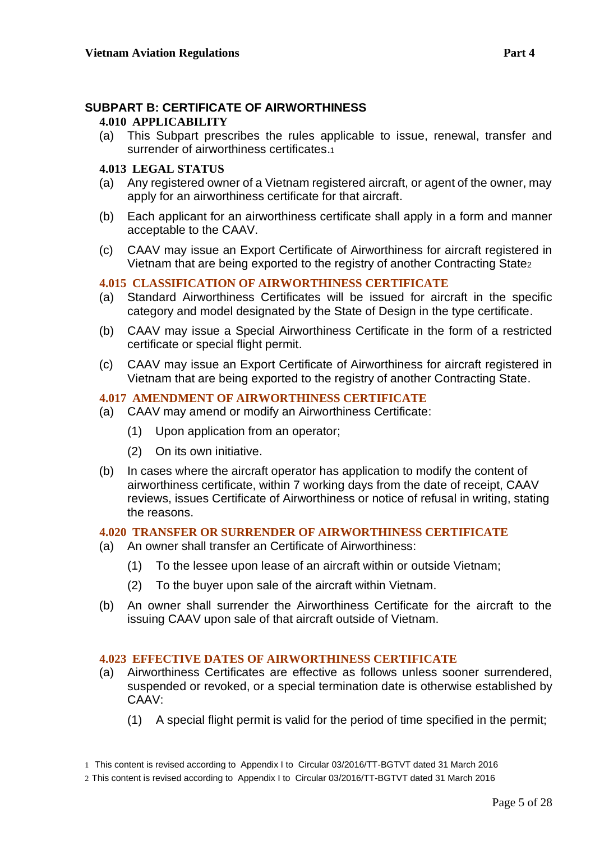# <span id="page-4-1"></span><span id="page-4-0"></span>**SUBPART B: CERTIFICATE OF AIRWORTHINESS**

#### **4.010 APPLICABILITY**

(a) This Subpart prescribes the rules applicable to issue, renewal, transfer and surrender of airworthiness certificates.<sup>1</sup>

#### <span id="page-4-2"></span>**4.013 LEGAL STATUS**

- (a) Any registered owner of a Vietnam registered aircraft, or agent of the owner, may apply for an airworthiness certificate for that aircraft.
- (b) Each applicant for an airworthiness certificate shall apply in a form and manner acceptable to the CAAV.
- (c) CAAV may issue an Export Certificate of Airworthiness for aircraft registered in Vietnam that are being exported to the registry of another Contracting State<sup>2</sup>

## <span id="page-4-3"></span>**4.015 CLASSIFICATION OF AIRWORTHINESS CERTIFICATE**

- (a) Standard Airworthiness Certificates will be issued for aircraft in the specific category and model designated by the State of Design in the type certificate.
- (b) CAAV may issue a Special Airworthiness Certificate in the form of a restricted certificate or special flight permit.
- (c) CAAV may issue an Export Certificate of Airworthiness for aircraft registered in Vietnam that are being exported to the registry of another Contracting State.

# <span id="page-4-4"></span>**4.017 AMENDMENT OF AIRWORTHINESS CERTIFICATE**

- (a) CAAV may amend or modify an Airworthiness Certificate:
	- (1) Upon application from an operator;
	- (2) On its own initiative.
- (b) In cases where the aircraft operator has application to modify the content of airworthiness certificate, within 7 working days from the date of receipt, CAAV reviews, issues Certificate of Airworthiness or notice of refusal in writing, stating the reasons.

#### <span id="page-4-5"></span>**4.020 TRANSFER OR SURRENDER OF AIRWORTHINESS CERTIFICATE**

- (a) An owner shall transfer an Certificate of Airworthiness:
	- (1) To the lessee upon lease of an aircraft within or outside Vietnam;
	- (2) To the buyer upon sale of the aircraft within Vietnam.
- (b) An owner shall surrender the Airworthiness Certificate for the aircraft to the issuing CAAV upon sale of that aircraft outside of Vietnam.

#### <span id="page-4-6"></span>**4.023 EFFECTIVE DATES OF AIRWORTHINESS CERTIFICATE**

- (a) Airworthiness Certificates are effective as follows unless sooner surrendered, suspended or revoked, or a special termination date is otherwise established by CAAV:
	- (1) A special flight permit is valid for the period of time specified in the permit;

<sup>1</sup> This content is revised according to Appendix I to Circular 03/2016/TT-BGTVT dated 31 March 2016

<sup>2</sup> This content is revised according to Appendix I to Circular 03/2016/TT-BGTVT dated 31 March 2016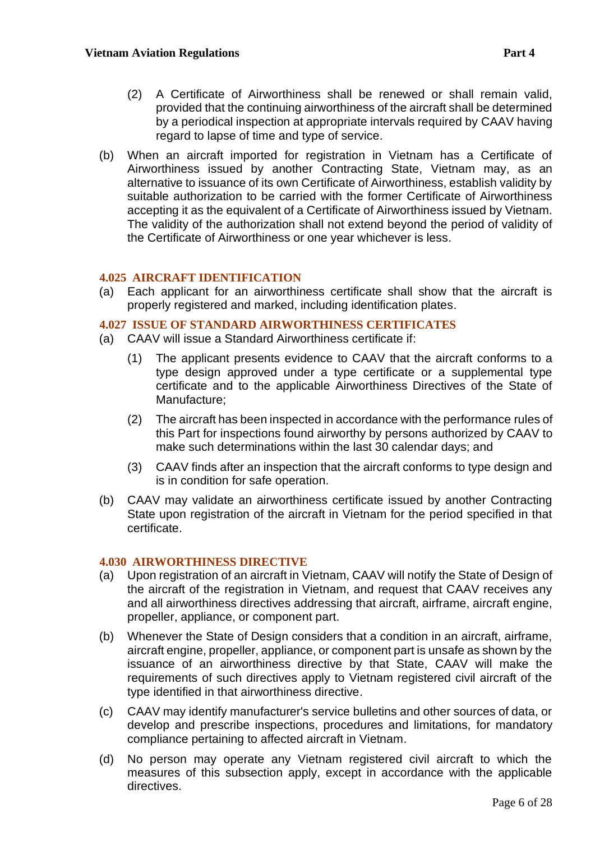- (2) A Certificate of Airworthiness shall be renewed or shall remain valid, provided that the continuing airworthiness of the aircraft shall be determined by a periodical inspection at appropriate intervals required by CAAV having regard to lapse of time and type of service.
- (b) When an aircraft imported for registration in Vietnam has a Certificate of Airworthiness issued by another Contracting State, Vietnam may, as an alternative to issuance of its own Certificate of Airworthiness, establish validity by suitable authorization to be carried with the former Certificate of Airworthiness accepting it as the equivalent of a Certificate of Airworthiness issued by Vietnam. The validity of the authorization shall not extend beyond the period of validity of the Certificate of Airworthiness or one year whichever is less.

#### <span id="page-5-0"></span>**4.025 AIRCRAFT IDENTIFICATION**

(a) Each applicant for an airworthiness certificate shall show that the aircraft is properly registered and marked, including identification plates.

#### <span id="page-5-1"></span>**4.027 ISSUE OF STANDARD AIRWORTHINESS CERTIFICATES**

- (a) CAAV will issue a Standard Airworthiness certificate if:
	- (1) The applicant presents evidence to CAAV that the aircraft conforms to a type design approved under a type certificate or a supplemental type certificate and to the applicable Airworthiness Directives of the State of Manufacture;
	- (2) The aircraft has been inspected in accordance with the performance rules of this Part for inspections found airworthy by persons authorized by CAAV to make such determinations within the last 30 calendar days; and
	- (3) CAAV finds after an inspection that the aircraft conforms to type design and is in condition for safe operation.
- (b) CAAV may validate an airworthiness certificate issued by another Contracting State upon registration of the aircraft in Vietnam for the period specified in that certificate.

#### <span id="page-5-2"></span>**4.030 AIRWORTHINESS DIRECTIVE**

- (a) Upon registration of an aircraft in Vietnam, CAAV will notify the State of Design of the aircraft of the registration in Vietnam, and request that CAAV receives any and all airworthiness directives addressing that aircraft, airframe, aircraft engine, propeller, appliance, or component part.
- (b) Whenever the State of Design considers that a condition in an aircraft, airframe, aircraft engine, propeller, appliance, or component part is unsafe as shown by the issuance of an airworthiness directive by that State, CAAV will make the requirements of such directives apply to Vietnam registered civil aircraft of the type identified in that airworthiness directive.
- (c) CAAV may identify manufacturer's service bulletins and other sources of data, or develop and prescribe inspections, procedures and limitations, for mandatory compliance pertaining to affected aircraft in Vietnam.
- (d) No person may operate any Vietnam registered civil aircraft to which the measures of this subsection apply, except in accordance with the applicable directives.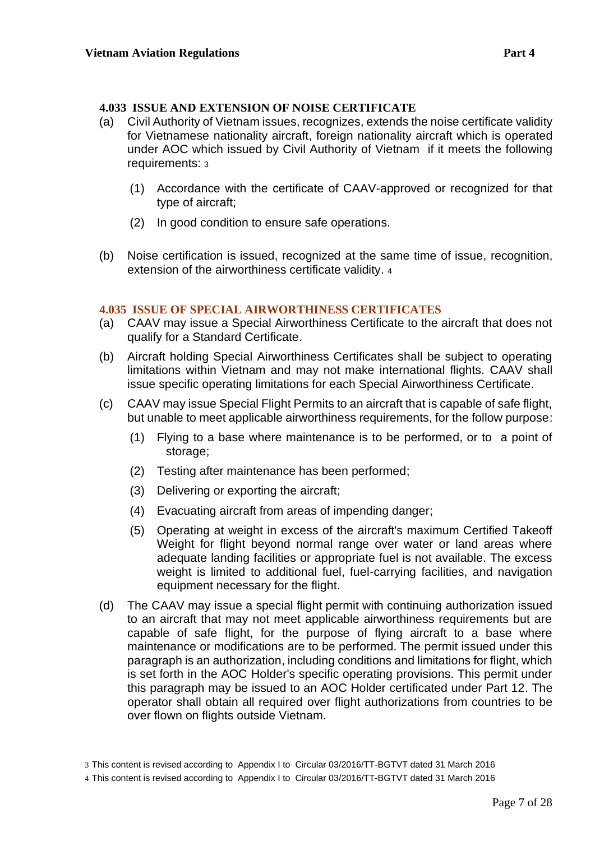#### <span id="page-6-0"></span>**4.033 ISSUE AND EXTENSION OF NOISE CERTIFICATE**

- (a) Civil Authority of Vietnam issues, recognizes, extends the noise certificate validity for Vietnamese nationality aircraft, foreign nationality aircraft which is operated under AOC which issued by Civil Authority of Vietnam if it meets the following requirements: <sup>3</sup>
	- (1) Accordance with the certificate of CAAV-approved or recognized for that type of aircraft;
	- (2) In good condition to ensure safe operations.
- (b) Noise certification is issued, recognized at the same time of issue, recognition, extension of the airworthiness certificate validity. <sup>4</sup>

#### <span id="page-6-1"></span>**4.035 ISSUE OF SPECIAL AIRWORTHINESS CERTIFICATES**

- (a) CAAV may issue a Special Airworthiness Certificate to the aircraft that does not qualify for a Standard Certificate.
- (b) Aircraft holding Special Airworthiness Certificates shall be subject to operating limitations within Vietnam and may not make international flights. CAAV shall issue specific operating limitations for each Special Airworthiness Certificate.
- (c) CAAV may issue Special Flight Permits to an aircraft that is capable of safe flight, but unable to meet applicable airworthiness requirements, for the follow purpose:
	- (1) Flying to a base where maintenance is to be performed, or to a point of storage;
	- (2) Testing after maintenance has been performed;
	- (3) Delivering or exporting the aircraft;
	- (4) Evacuating aircraft from areas of impending danger;
	- (5) Operating at weight in excess of the aircraft's maximum Certified Takeoff Weight for flight beyond normal range over water or land areas where adequate landing facilities or appropriate fuel is not available. The excess weight is limited to additional fuel, fuel-carrying facilities, and navigation equipment necessary for the flight.
- (d) The CAAV may issue a special flight permit with continuing authorization issued to an aircraft that may not meet applicable airworthiness requirements but are capable of safe flight, for the purpose of flying aircraft to a base where maintenance or modifications are to be performed. The permit issued under this paragraph is an authorization, including conditions and limitations for flight, which is set forth in the AOC Holder's specific operating provisions. This permit under this paragraph may be issued to an AOC Holder certificated under Part 12. The operator shall obtain all required over flight authorizations from countries to be over flown on flights outside Vietnam.

<sup>3</sup> This content is revised according to Appendix I to Circular 03/2016/TT-BGTVT dated 31 March 2016

<sup>4</sup> This content is revised according to Appendix I to Circular 03/2016/TT-BGTVT dated 31 March 2016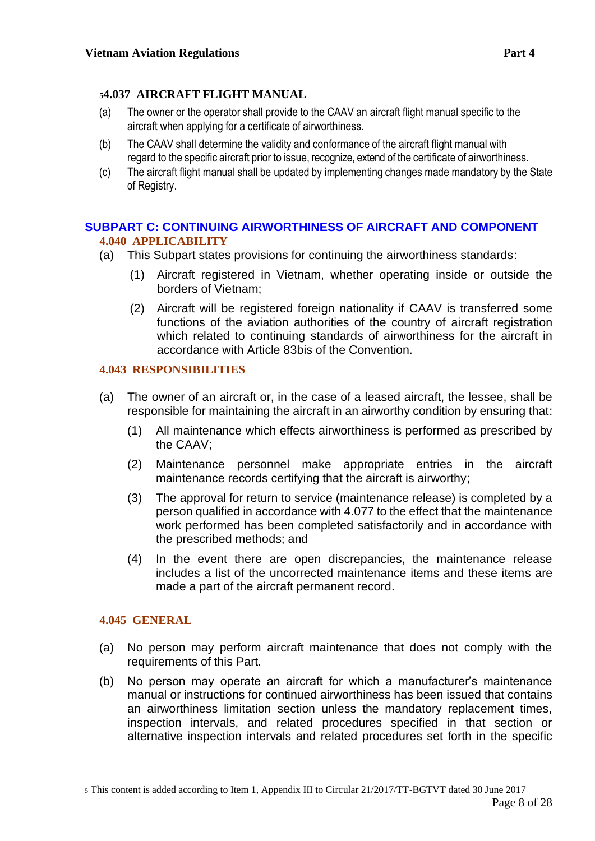# <span id="page-7-0"></span>**<sup>5</sup>4.037 AIRCRAFT FLIGHT MANUAL**

- (a) The owner or the operator shall provide to the CAAV an aircraft flight manual specific to the aircraft when applying for a certificate of airworthiness.
- (b) The CAAV shall determine the validity and conformance of the aircraft flight manual with regard to the specific aircraft prior to issue, recognize, extend of the certificate of airworthiness.
- (c) The aircraft flight manual shall be updated by implementing changes made mandatory by the State of Registry.

## <span id="page-7-2"></span><span id="page-7-1"></span>**SUBPART C: CONTINUING AIRWORTHINESS OF AIRCRAFT AND COMPONENT 4.040 APPLICABILITY**

- (a) This Subpart states provisions for continuing the airworthiness standards:
	- (1) Aircraft registered in Vietnam, whether operating inside or outside the borders of Vietnam;
	- (2) Aircraft will be registered foreign nationality if CAAV is transferred some functions of the aviation authorities of the country of aircraft registration which related to continuing standards of airworthiness for the aircraft in accordance with Article 83bis of the Convention.

# <span id="page-7-3"></span>**4.043 RESPONSIBILITIES**

- (a) The owner of an aircraft or, in the case of a leased aircraft, the lessee, shall be responsible for maintaining the aircraft in an airworthy condition by ensuring that:
	- (1) All maintenance which effects airworthiness is performed as prescribed by the CAAV;
	- (2) Maintenance personnel make appropriate entries in the aircraft maintenance records certifying that the aircraft is airworthy;
	- (3) The approval for return to service (maintenance release) is completed by a person qualified in accordance with 4.077 to the effect that the maintenance work performed has been completed satisfactorily and in accordance with the prescribed methods; and
	- (4) In the event there are open discrepancies, the maintenance release includes a list of the uncorrected maintenance items and these items are made a part of the aircraft permanent record.

## <span id="page-7-4"></span>**4.045 GENERAL**

- (a) No person may perform aircraft maintenance that does not comply with the requirements of this Part.
- (b) No person may operate an aircraft for which a manufacturer's maintenance manual or instructions for continued airworthiness has been issued that contains an airworthiness limitation section unless the mandatory replacement times, inspection intervals, and related procedures specified in that section or alternative inspection intervals and related procedures set forth in the specific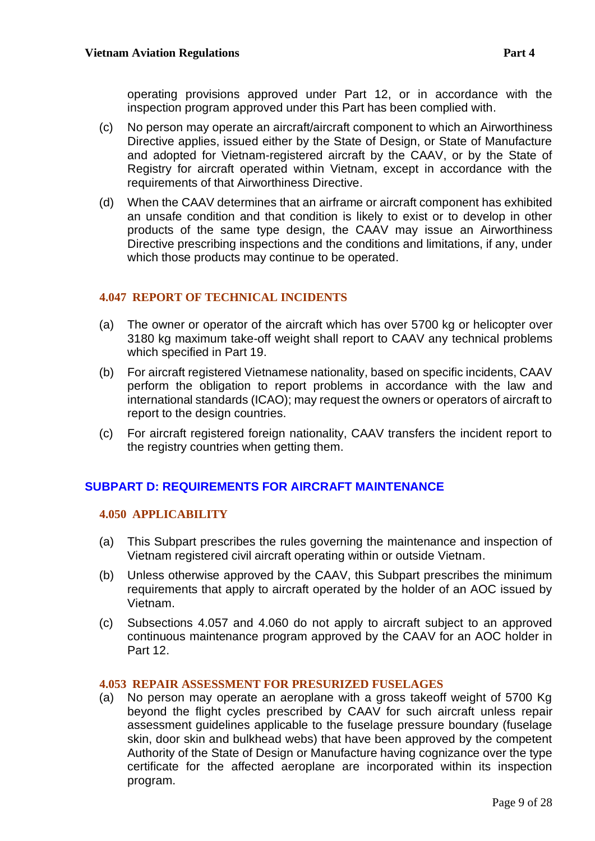operating provisions approved under Part 12, or in accordance with the inspection program approved under this Part has been complied with.

- (c) No person may operate an aircraft/aircraft component to which an Airworthiness Directive applies, issued either by the State of Design, or State of Manufacture and adopted for Vietnam-registered aircraft by the CAAV, or by the State of Registry for aircraft operated within Vietnam, except in accordance with the requirements of that Airworthiness Directive.
- (d) When the CAAV determines that an airframe or aircraft component has exhibited an unsafe condition and that condition is likely to exist or to develop in other products of the same type design, the CAAV may issue an Airworthiness Directive prescribing inspections and the conditions and limitations, if any, under which those products may continue to be operated.

# <span id="page-8-0"></span>**4.047 REPORT OF TECHNICAL INCIDENTS**

- (a) The owner or operator of the aircraft which has over 5700 kg or helicopter over 3180 kg maximum take-off weight shall report to CAAV any technical problems which specified in Part 19.
- (b) For aircraft registered Vietnamese nationality, based on specific incidents, CAAV perform the obligation to report problems in accordance with the law and international standards (ICAO); may request the owners or operators of aircraft to report to the design countries.
- (c) For aircraft registered foreign nationality, CAAV transfers the incident report to the registry countries when getting them.

# <span id="page-8-1"></span>**SUBPART D: REQUIREMENTS FOR AIRCRAFT MAINTENANCE**

## <span id="page-8-2"></span>**4.050 APPLICABILITY**

- (a) This Subpart prescribes the rules governing the maintenance and inspection of Vietnam registered civil aircraft operating within or outside Vietnam.
- (b) Unless otherwise approved by the CAAV, this Subpart prescribes the minimum requirements that apply to aircraft operated by the holder of an AOC issued by Vietnam.
- (c) Subsections 4.057 and 4.060 do not apply to aircraft subject to an approved continuous maintenance program approved by the CAAV for an AOC holder in Part 12.

## <span id="page-8-3"></span>**4.053 REPAIR ASSESSMENT FOR PRESURIZED FUSELAGES**

(a) No person may operate an aeroplane with a gross takeoff weight of 5700 Kg beyond the flight cycles prescribed by CAAV for such aircraft unless repair assessment guidelines applicable to the fuselage pressure boundary (fuselage skin, door skin and bulkhead webs) that have been approved by the competent Authority of the State of Design or Manufacture having cognizance over the type certificate for the affected aeroplane are incorporated within its inspection program.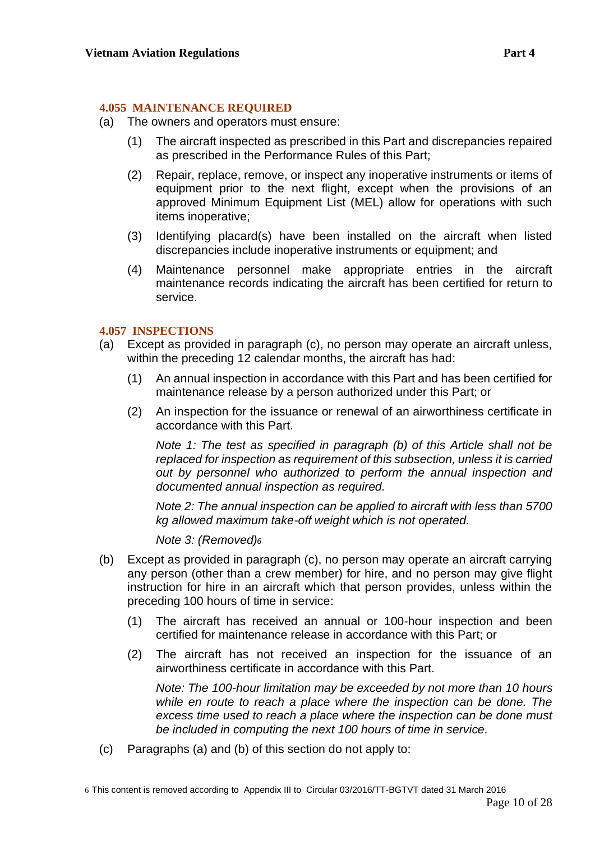#### <span id="page-9-0"></span>**4.055 MAINTENANCE REQUIRED**

- (a) The owners and operators must ensure:
	- (1) The aircraft inspected as prescribed in this Part and discrepancies repaired as prescribed in the Performance Rules of this Part;
	- (2) Repair, replace, remove, or inspect any inoperative instruments or items of equipment prior to the next flight, except when the provisions of an approved Minimum Equipment List (MEL) allow for operations with such items inoperative;
	- (3) Identifying placard(s) have been installed on the aircraft when listed discrepancies include inoperative instruments or equipment; and
	- (4) Maintenance personnel make appropriate entries in the aircraft maintenance records indicating the aircraft has been certified for return to service.

## <span id="page-9-1"></span>**4.057 INSPECTIONS**

- (a) Except as provided in paragraph (c), no person may operate an aircraft unless, within the preceding 12 calendar months, the aircraft has had:
	- (1) An annual inspection in accordance with this Part and has been certified for maintenance release by a person authorized under this Part; or
	- (2) An inspection for the issuance or renewal of an airworthiness certificate in accordance with this Part.

*Note 1: The test as specified in paragraph (b) of this Article shall not be replaced for inspection as requirement of this subsection, unless it is carried out by personnel who authorized to perform the annual inspection and documented annual inspection as required.*

*Note 2: The annual inspection can be applied to aircraft with less than 5700 kg allowed maximum take-off weight which is not operated.*

*Note 3: (Removed)<sup>6</sup>*

- (b) Except as provided in paragraph (c), no person may operate an aircraft carrying any person (other than a crew member) for hire, and no person may give flight instruction for hire in an aircraft which that person provides, unless within the preceding 100 hours of time in service:
	- (1) The aircraft has received an annual or 100-hour inspection and been certified for maintenance release in accordance with this Part; or
	- (2) The aircraft has not received an inspection for the issuance of an airworthiness certificate in accordance with this Part.

*Note: The 100-hour limitation may be exceeded by not more than 10 hours while en route to reach a place where the inspection can be done. The excess time used to reach a place where the inspection can be done must be included in computing the next 100 hours of time in service.*

(c) Paragraphs (a) and (b) of this section do not apply to: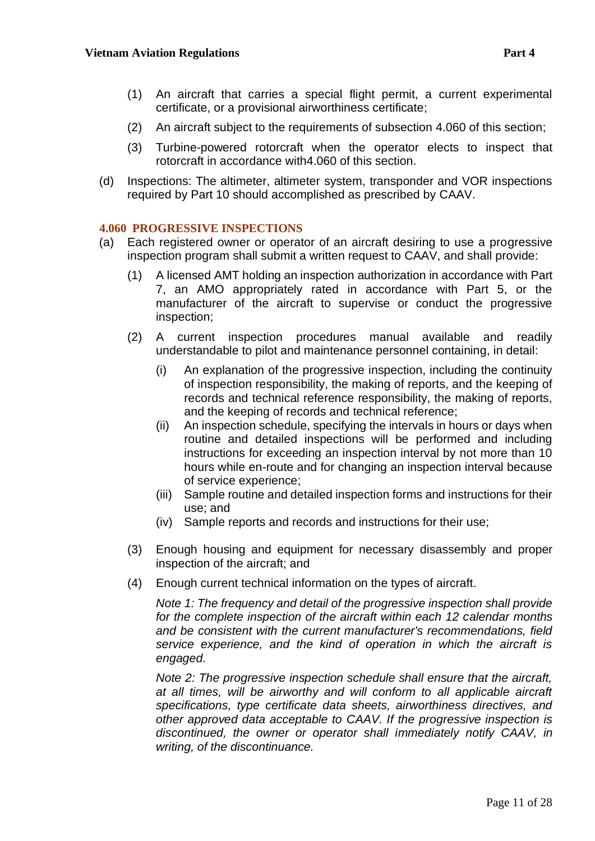- (1) An aircraft that carries a special flight permit, a current experimental certificate, or a provisional airworthiness certificate;
- (2) An aircraft subject to the requirements of subsection 4.060 of this section;
- (3) Turbine-powered rotorcraft when the operator elects to inspect that rotorcraft in accordance with4.060 of this section.
- (d) Inspections: The altimeter, altimeter system, transponder and VOR inspections required by Part 10 should accomplished as prescribed by CAAV.

## <span id="page-10-0"></span>**4.060 PROGRESSIVE INSPECTIONS**

- (a) Each registered owner or operator of an aircraft desiring to use a progressive inspection program shall submit a written request to CAAV, and shall provide:
	- (1) A licensed AMT holding an inspection authorization in accordance with Part 7, an AMO appropriately rated in accordance with Part 5, or the manufacturer of the aircraft to supervise or conduct the progressive inspection;
	- (2) A current inspection procedures manual available and readily understandable to pilot and maintenance personnel containing, in detail:
		- (i) An explanation of the progressive inspection, including the continuity of inspection responsibility, the making of reports, and the keeping of records and technical reference responsibility, the making of reports, and the keeping of records and technical reference;
		- (ii) An inspection schedule, specifying the intervals in hours or days when routine and detailed inspections will be performed and including instructions for exceeding an inspection interval by not more than 10 hours while en-route and for changing an inspection interval because of service experience;
		- (iii) Sample routine and detailed inspection forms and instructions for their use; and
		- (iv) Sample reports and records and instructions for their use;
	- (3) Enough housing and equipment for necessary disassembly and proper inspection of the aircraft; and
	- (4) Enough current technical information on the types of aircraft.

*Note 1: The frequency and detail of the progressive inspection shall provide for the complete inspection of the aircraft within each 12 calendar months and be consistent with the current manufacturer's recommendations, field service experience, and the kind of operation in which the aircraft is engaged.*

*Note 2: The progressive inspection schedule shall ensure that the aircraft, at all times, will be airworthy and will conform to all applicable aircraft specifications, type certificate data sheets, airworthiness directives, and other approved data acceptable to CAAV. If the progressive inspection is discontinued, the owner or operator shall immediately notify CAAV, in writing, of the discontinuance.*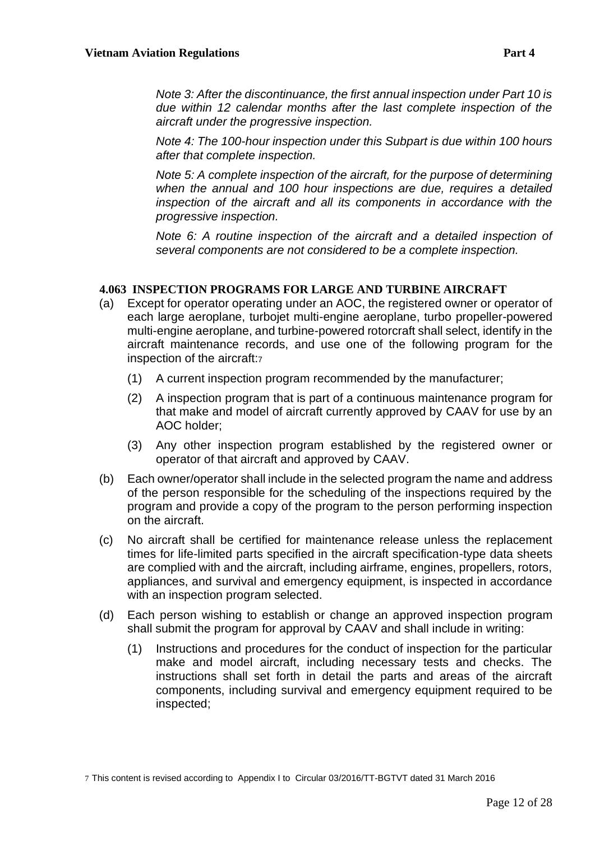*Note 3: After the discontinuance, the first annual inspection under Part 10 is due within 12 calendar months after the last complete inspection of the aircraft under the progressive inspection.*

*Note 4: The 100-hour inspection under this Subpart is due within 100 hours after that complete inspection.*

*Note 5: A complete inspection of the aircraft, for the purpose of determining when the annual and 100 hour inspections are due, requires a detailed inspection of the aircraft and all its components in accordance with the progressive inspection.*

*Note 6: A routine inspection of the aircraft and a detailed inspection of several components are not considered to be a complete inspection.*

## <span id="page-11-0"></span>**4.063 INSPECTION PROGRAMS FOR LARGE AND TURBINE AIRCRAFT**

- (a) Except for operator operating under an AOC, the registered owner or operator of each large aeroplane, turbojet multi-engine aeroplane, turbo propeller-powered multi-engine aeroplane, and turbine-powered rotorcraft shall select, identify in the aircraft maintenance records, and use one of the following program for the inspection of the aircraft:<sup>7</sup>
	- (1) A current inspection program recommended by the manufacturer;
	- (2) A inspection program that is part of a continuous maintenance program for that make and model of aircraft currently approved by CAAV for use by an AOC holder;
	- (3) Any other inspection program established by the registered owner or operator of that aircraft and approved by CAAV.
- (b) Each owner/operator shall include in the selected program the name and address of the person responsible for the scheduling of the inspections required by the program and provide a copy of the program to the person performing inspection on the aircraft.
- (c) No aircraft shall be certified for maintenance release unless the replacement times for life-limited parts specified in the aircraft specification-type data sheets are complied with and the aircraft, including airframe, engines, propellers, rotors, appliances, and survival and emergency equipment, is inspected in accordance with an inspection program selected.
- (d) Each person wishing to establish or change an approved inspection program shall submit the program for approval by CAAV and shall include in writing:
	- (1) Instructions and procedures for the conduct of inspection for the particular make and model aircraft, including necessary tests and checks. The instructions shall set forth in detail the parts and areas of the aircraft components, including survival and emergency equipment required to be inspected;

<sup>7</sup> This content is revised according to Appendix I to Circular 03/2016/TT-BGTVT dated 31 March 2016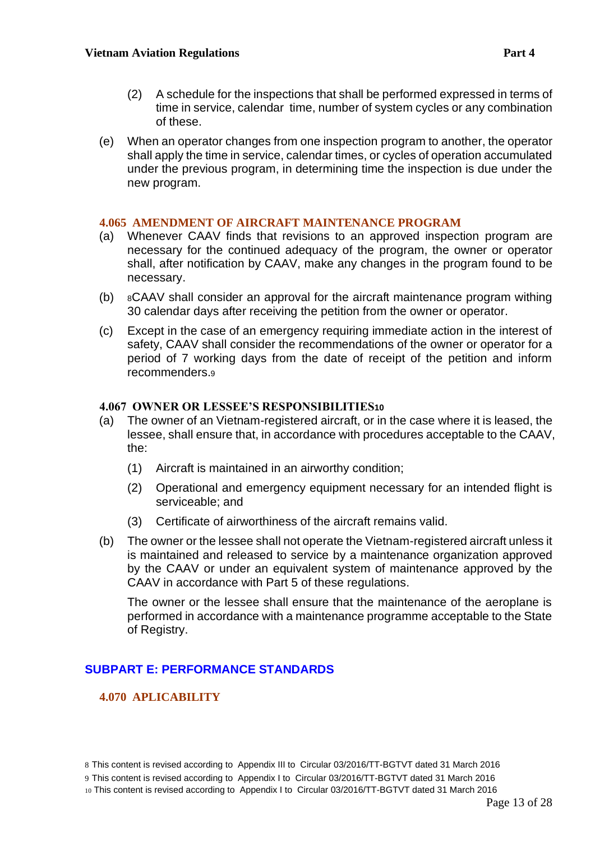- (2) A schedule for the inspections that shall be performed expressed in terms of time in service, calendar time, number of system cycles or any combination of these.
- (e) When an operator changes from one inspection program to another, the operator shall apply the time in service, calendar times, or cycles of operation accumulated under the previous program, in determining time the inspection is due under the new program.

#### <span id="page-12-0"></span>**4.065 AMENDMENT OF AIRCRAFT MAINTENANCE PROGRAM**

- (a) Whenever CAAV finds that revisions to an approved inspection program are necessary for the continued adequacy of the program, the owner or operator shall, after notification by CAAV, make any changes in the program found to be necessary.
- (b) <sup>8</sup>CAAV shall consider an approval for the aircraft maintenance program withing 30 calendar days after receiving the petition from the owner or operator.
- (c) Except in the case of an emergency requiring immediate action in the interest of safety, CAAV shall consider the recommendations of the owner or operator for a period of 7 working days from the date of receipt of the petition and inform recommenders.<sup>9</sup>

#### <span id="page-12-1"></span>**4.067 OWNER OR LESSEE'S RESPONSIBILITIES10**

- (a) The owner of an Vietnam-registered aircraft, or in the case where it is leased, the lessee, shall ensure that, in accordance with procedures acceptable to the CAAV, the:
	- (1) Aircraft is maintained in an airworthy condition;
	- (2) Operational and emergency equipment necessary for an intended flight is serviceable; and
	- (3) Certificate of airworthiness of the aircraft remains valid.
- (b) The owner or the lessee shall not operate the Vietnam-registered aircraft unless it is maintained and released to service by a maintenance organization approved by the CAAV or under an equivalent system of maintenance approved by the CAAV in accordance with Part 5 of these regulations.

The owner or the lessee shall ensure that the maintenance of the aeroplane is performed in accordance with a maintenance programme acceptable to the State of Registry.

# <span id="page-12-2"></span>**SUBPART E: PERFORMANCE STANDARDS**

## <span id="page-12-3"></span>**4.070 APLICABILITY**

8 This content is revised according to Appendix III to Circular 03/2016/TT-BGTVT dated 31 March 2016

9 This content is revised according to Appendix I to Circular 03/2016/TT-BGTVT dated 31 March 2016

10 This content is revised according to Appendix I to Circular 03/2016/TT-BGTVT dated 31 March 2016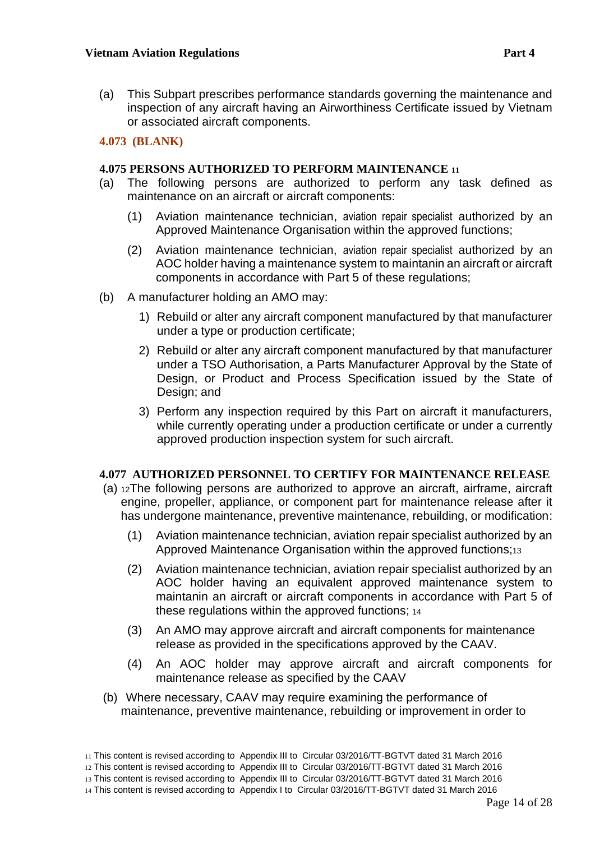(a) This Subpart prescribes performance standards governing the maintenance and inspection of any aircraft having an Airworthiness Certificate issued by Vietnam or associated aircraft components.

## <span id="page-13-0"></span>**4.073 (BLANK)**

#### <span id="page-13-1"></span>**4.075 PERSONS AUTHORIZED TO PERFORM MAINTENANCE <sup>11</sup>**

- (a) The following persons are authorized to perform any task defined as maintenance on an aircraft or aircraft components:
	- (1) Aviation maintenance technician, aviation repair specialist authorized by an Approved Maintenance Organisation within the approved functions;
	- (2) Aviation maintenance technician, aviation repair specialist authorized by an AOC holder having a maintenance system to maintanin an aircraft or aircraft components in accordance with Part 5 of these regulations;
- (b) A manufacturer holding an AMO may:
	- 1) Rebuild or alter any aircraft component manufactured by that manufacturer under a type or production certificate;
	- 2) Rebuild or alter any aircraft component manufactured by that manufacturer under a TSO Authorisation, a Parts Manufacturer Approval by the State of Design, or Product and Process Specification issued by the State of Design; and
	- 3) Perform any inspection required by this Part on aircraft it manufacturers, while currently operating under a production certificate or under a currently approved production inspection system for such aircraft.

## <span id="page-13-2"></span>**4.077 AUTHORIZED PERSONNEL TO CERTIFY FOR MAINTENANCE RELEASE**

- (a) <sup>12</sup>The following persons are authorized to approve an aircraft, airframe, aircraft engine, propeller, appliance, or component part for maintenance release after it has undergone maintenance, preventive maintenance, rebuilding, or modification:
	- (1) Aviation maintenance technician, aviation repair specialist authorized by an Approved Maintenance Organisation within the approved functions;<sup>13</sup>
	- (2) Aviation maintenance technician, aviation repair specialist authorized by an AOC holder having an equivalent approved maintenance system to maintanin an aircraft or aircraft components in accordance with Part 5 of these regulations within the approved functions; <sup>14</sup>
	- (3) An AMO may approve aircraft and aircraft components for maintenance release as provided in the specifications approved by the CAAV.
	- (4) An AOC holder may approve aircraft and aircraft components for maintenance release as specified by the CAAV
- (b) Where necessary, CAAV may require examining the performance of maintenance, preventive maintenance, rebuilding or improvement in order to

<sup>11</sup> This content is revised according to Appendix III to Circular 03/2016/TT-BGTVT dated 31 March 2016

<sup>12</sup> This content is revised according to Appendix III to Circular 03/2016/TT-BGTVT dated 31 March 2016

<sup>13</sup> This content is revised according to Appendix III to Circular 03/2016/TT-BGTVT dated 31 March 2016

<sup>14</sup> This content is revised according to Appendix I to Circular 03/2016/TT-BGTVT dated 31 March 2016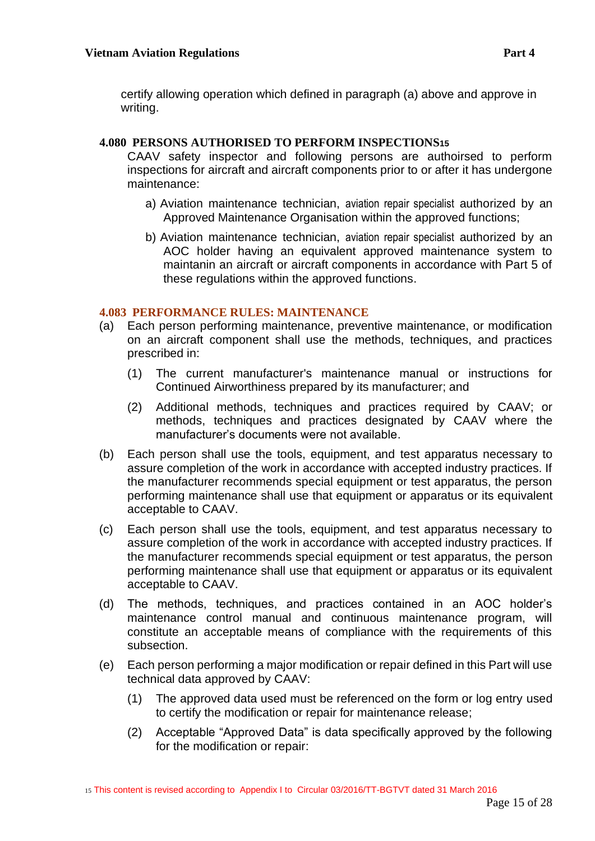certify allowing operation which defined in paragraph (a) above and approve in writing.

## <span id="page-14-0"></span>**4.080 PERSONS AUTHORISED TO PERFORM INSPECTIONS15**

CAAV safety inspector and following persons are authoirsed to perform inspections for aircraft and aircraft components prior to or after it has undergone maintenance:

- a) Aviation maintenance technician, aviation repair specialist authorized by an Approved Maintenance Organisation within the approved functions;
- b) Aviation maintenance technician, aviation repair specialist authorized by an AOC holder having an equivalent approved maintenance system to maintanin an aircraft or aircraft components in accordance with Part 5 of these regulations within the approved functions.

# <span id="page-14-1"></span>**4.083 PERFORMANCE RULES: MAINTENANCE**

- (a) Each person performing maintenance, preventive maintenance, or modification on an aircraft component shall use the methods, techniques, and practices prescribed in:
	- (1) The current manufacturer's maintenance manual or instructions for Continued Airworthiness prepared by its manufacturer; and
	- (2) Additional methods, techniques and practices required by CAAV; or methods, techniques and practices designated by CAAV where the manufacturer's documents were not available.
- (b) Each person shall use the tools, equipment, and test apparatus necessary to assure completion of the work in accordance with accepted industry practices. If the manufacturer recommends special equipment or test apparatus, the person performing maintenance shall use that equipment or apparatus or its equivalent acceptable to CAAV.
- (c) Each person shall use the tools, equipment, and test apparatus necessary to assure completion of the work in accordance with accepted industry practices. If the manufacturer recommends special equipment or test apparatus, the person performing maintenance shall use that equipment or apparatus or its equivalent acceptable to CAAV.
- (d) The methods, techniques, and practices contained in an AOC holder's maintenance control manual and continuous maintenance program, will constitute an acceptable means of compliance with the requirements of this subsection.
- (e) Each person performing a major modification or repair defined in this Part will use technical data approved by CAAV:
	- (1) The approved data used must be referenced on the form or log entry used to certify the modification or repair for maintenance release;
	- (2) Acceptable "Approved Data" is data specifically approved by the following for the modification or repair: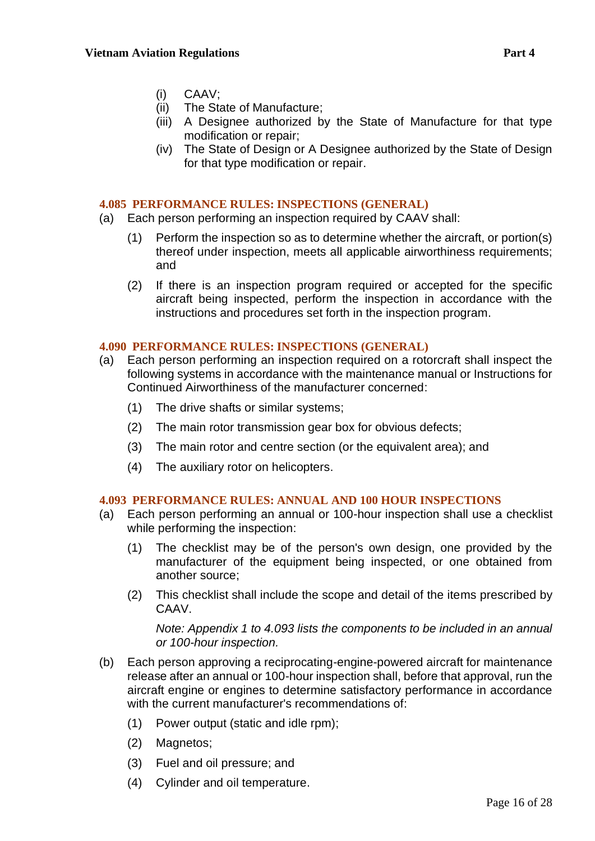- (i) CAAV;
- (ii) The State of Manufacture;
- (iii) A Designee authorized by the State of Manufacture for that type modification or repair;
- (iv) The State of Design or A Designee authorized by the State of Design for that type modification or repair.

#### <span id="page-15-0"></span>**4.085 PERFORMANCE RULES: INSPECTIONS (GENERAL)**

- (a) Each person performing an inspection required by CAAV shall:
	- (1) Perform the inspection so as to determine whether the aircraft, or portion(s) thereof under inspection, meets all applicable airworthiness requirements; and
	- (2) If there is an inspection program required or accepted for the specific aircraft being inspected, perform the inspection in accordance with the instructions and procedures set forth in the inspection program.

#### <span id="page-15-1"></span>**4.090 PERFORMANCE RULES: INSPECTIONS (GENERAL)**

- (a) Each person performing an inspection required on a rotorcraft shall inspect the following systems in accordance with the maintenance manual or Instructions for Continued Airworthiness of the manufacturer concerned:
	- (1) The drive shafts or similar systems;
	- (2) The main rotor transmission gear box for obvious defects;
	- (3) The main rotor and centre section (or the equivalent area); and
	- (4) The auxiliary rotor on helicopters.

## <span id="page-15-2"></span>**4.093 PERFORMANCE RULES: ANNUAL AND 100 HOUR INSPECTIONS**

- (a) Each person performing an annual or 100-hour inspection shall use a checklist while performing the inspection:
	- (1) The checklist may be of the person's own design, one provided by the manufacturer of the equipment being inspected, or one obtained from another source;
	- (2) This checklist shall include the scope and detail of the items prescribed by CAAV.

*Note: Appendix 1 to 4.093 lists the components to be included in an annual or 100-hour inspection.*

- (b) Each person approving a reciprocating-engine-powered aircraft for maintenance release after an annual or 100-hour inspection shall, before that approval, run the aircraft engine or engines to determine satisfactory performance in accordance with the current manufacturer's recommendations of:
	- (1) Power output (static and idle rpm);
	- (2) Magnetos;
	- (3) Fuel and oil pressure; and
	- (4) Cylinder and oil temperature.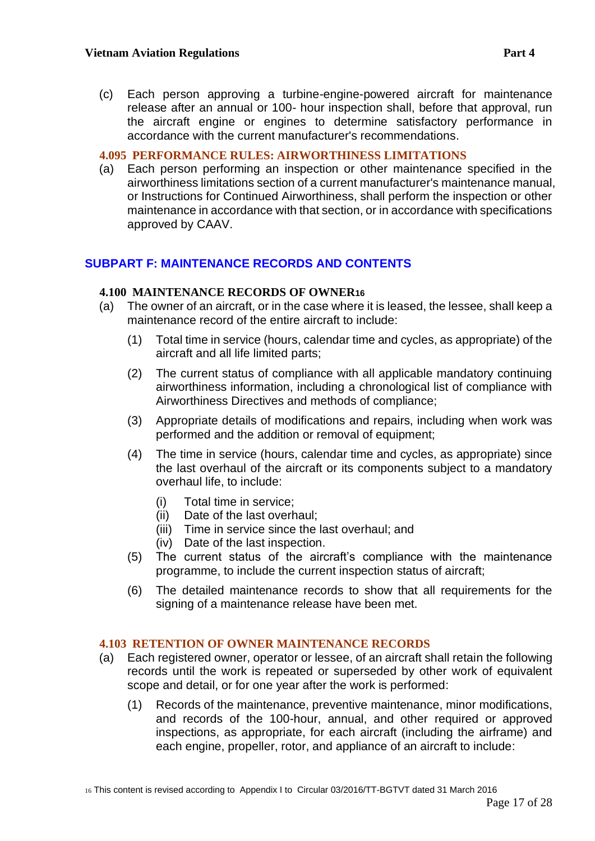(c) Each person approving a turbine-engine-powered aircraft for maintenance release after an annual or 100- hour inspection shall, before that approval, run the aircraft engine or engines to determine satisfactory performance in accordance with the current manufacturer's recommendations.

#### <span id="page-16-0"></span>**4.095 PERFORMANCE RULES: AIRWORTHINESS LIMITATIONS**

(a) Each person performing an inspection or other maintenance specified in the airworthiness limitations section of a current manufacturer's maintenance manual, or Instructions for Continued Airworthiness, shall perform the inspection or other maintenance in accordance with that section, or in accordance with specifications approved by CAAV.

# <span id="page-16-1"></span>**SUBPART F: MAINTENANCE RECORDS AND CONTENTS**

#### <span id="page-16-2"></span>**4.100 MAINTENANCE RECORDS OF OWNER16**

- (a) The owner of an aircraft, or in the case where it is leased, the lessee, shall keep a maintenance record of the entire aircraft to include:
	- (1) Total time in service (hours, calendar time and cycles, as appropriate) of the aircraft and all life limited parts;
	- (2) The current status of compliance with all applicable mandatory continuing airworthiness information, including a chronological list of compliance with Airworthiness Directives and methods of compliance;
	- (3) Appropriate details of modifications and repairs, including when work was performed and the addition or removal of equipment;
	- (4) The time in service (hours, calendar time and cycles, as appropriate) since the last overhaul of the aircraft or its components subject to a mandatory overhaul life, to include:
		- (i) Total time in service;
		- (ii) Date of the last overhaul;
		- (iii) Time in service since the last overhaul; and
		- (iv) Date of the last inspection.
	- (5) The current status of the aircraft's compliance with the maintenance programme, to include the current inspection status of aircraft;
	- (6) The detailed maintenance records to show that all requirements for the signing of a maintenance release have been met.

## <span id="page-16-3"></span>**4.103 RETENTION OF OWNER MAINTENANCE RECORDS**

- (a) Each registered owner, operator or lessee, of an aircraft shall retain the following records until the work is repeated or superseded by other work of equivalent scope and detail, or for one year after the work is performed:
	- (1) Records of the maintenance, preventive maintenance, minor modifications, and records of the 100-hour, annual, and other required or approved inspections, as appropriate, for each aircraft (including the airframe) and each engine, propeller, rotor, and appliance of an aircraft to include: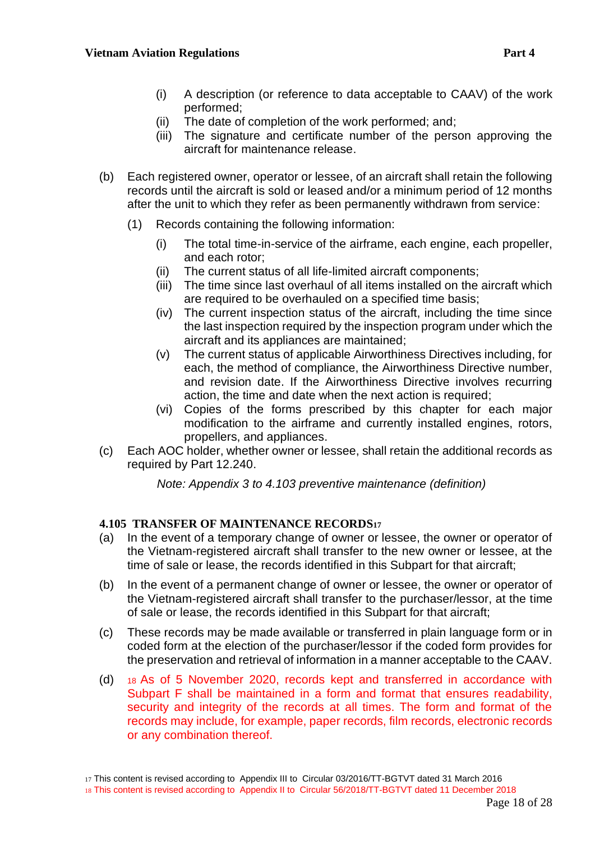- (i) A description (or reference to data acceptable to CAAV) of the work performed;
- (ii) The date of completion of the work performed; and;
- (iii) The signature and certificate number of the person approving the aircraft for maintenance release.
- (b) Each registered owner, operator or lessee, of an aircraft shall retain the following records until the aircraft is sold or leased and/or a minimum period of 12 months after the unit to which they refer as been permanently withdrawn from service:
	- (1) Records containing the following information:
		- (i) The total time-in-service of the airframe, each engine, each propeller, and each rotor;
		- (ii) The current status of all life-limited aircraft components;
		- (iii) The time since last overhaul of all items installed on the aircraft which are required to be overhauled on a specified time basis;
		- (iv) The current inspection status of the aircraft, including the time since the last inspection required by the inspection program under which the aircraft and its appliances are maintained;
		- (v) The current status of applicable Airworthiness Directives including, for each, the method of compliance, the Airworthiness Directive number, and revision date. If the Airworthiness Directive involves recurring action, the time and date when the next action is required;
		- (vi) Copies of the forms prescribed by this chapter for each major modification to the airframe and currently installed engines, rotors, propellers, and appliances.
- (c) Each AOC holder, whether owner or lessee, shall retain the additional records as required by Part 12.240.

*Note: Appendix 3 to 4.103 preventive maintenance (definition)*

## <span id="page-17-0"></span>**4.105 TRANSFER OF MAINTENANCE RECORDS<sup>17</sup>**

- (a) In the event of a temporary change of owner or lessee, the owner or operator of the Vietnam-registered aircraft shall transfer to the new owner or lessee, at the time of sale or lease, the records identified in this Subpart for that aircraft;
- (b) In the event of a permanent change of owner or lessee, the owner or operator of the Vietnam-registered aircraft shall transfer to the purchaser/lessor, at the time of sale or lease, the records identified in this Subpart for that aircraft;
- (c) These records may be made available or transferred in plain language form or in coded form at the election of the purchaser/lessor if the coded form provides for the preservation and retrieval of information in a manner acceptable to the CAAV.
- (d) <sup>18</sup> As of 5 November 2020, records kept and transferred in accordance with Subpart F shall be maintained in a form and format that ensures readability, security and integrity of the records at all times. The form and format of the records may include, for example, paper records, film records, electronic records or any combination thereof.

17 This content is revised according to Appendix III to Circular 03/2016/TT-BGTVT dated 31 March 2016

<sup>18</sup> This content is revised according to Appendix II to Circular 56/2018/TT-BGTVT dated 11 December 2018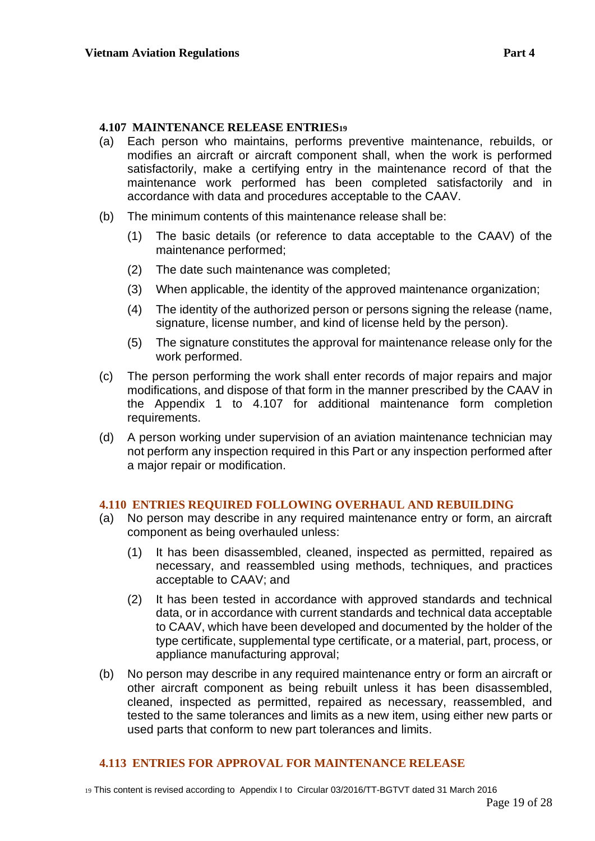#### <span id="page-18-0"></span>**4.107 MAINTENANCE RELEASE ENTRIES<sup>19</sup>**

- (a) Each person who maintains, performs preventive maintenance, rebuilds, or modifies an aircraft or aircraft component shall, when the work is performed satisfactorily, make a certifying entry in the maintenance record of that the maintenance work performed has been completed satisfactorily and in accordance with data and procedures acceptable to the CAAV.
- (b) The minimum contents of this maintenance release shall be:
	- (1) The basic details (or reference to data acceptable to the CAAV) of the maintenance performed;
	- (2) The date such maintenance was completed;
	- (3) When applicable, the identity of the approved maintenance organization;
	- (4) The identity of the authorized person or persons signing the release (name, signature, license number, and kind of license held by the person).
	- (5) The signature constitutes the approval for maintenance release only for the work performed.
- (c) The person performing the work shall enter records of major repairs and major modifications, and dispose of that form in the manner prescribed by the CAAV in the Appendix 1 to 4.107 for additional maintenance form completion requirements.
- (d) A person working under supervision of an aviation maintenance technician may not perform any inspection required in this Part or any inspection performed after a major repair or modification.

#### <span id="page-18-1"></span>**4.110 ENTRIES REQUIRED FOLLOWING OVERHAUL AND REBUILDING**

- (a) No person may describe in any required maintenance entry or form, an aircraft component as being overhauled unless:
	- (1) It has been disassembled, cleaned, inspected as permitted, repaired as necessary, and reassembled using methods, techniques, and practices acceptable to CAAV; and
	- (2) It has been tested in accordance with approved standards and technical data, or in accordance with current standards and technical data acceptable to CAAV, which have been developed and documented by the holder of the type certificate, supplemental type certificate, or a material, part, process, or appliance manufacturing approval;
- (b) No person may describe in any required maintenance entry or form an aircraft or other aircraft component as being rebuilt unless it has been disassembled, cleaned, inspected as permitted, repaired as necessary, reassembled, and tested to the same tolerances and limits as a new item, using either new parts or used parts that conform to new part tolerances and limits.

#### <span id="page-18-2"></span>**4.113 ENTRIES FOR APPROVAL FOR MAINTENANCE RELEASE**

19 This content is revised according to Appendix I to Circular 03/2016/TT-BGTVT dated 31 March 2016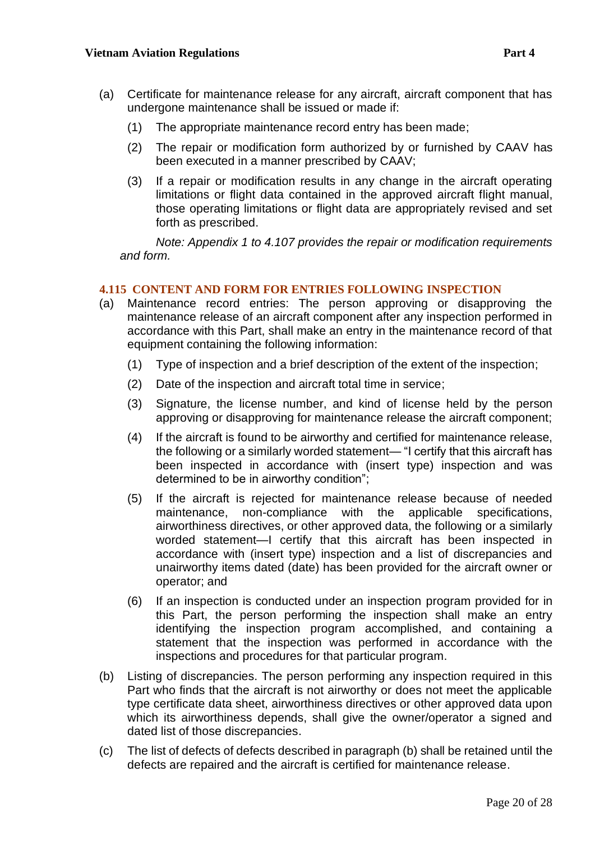- (a) Certificate for maintenance release for any aircraft, aircraft component that has undergone maintenance shall be issued or made if:
	- (1) The appropriate maintenance record entry has been made;
	- (2) The repair or modification form authorized by or furnished by CAAV has been executed in a manner prescribed by CAAV;
	- (3) If a repair or modification results in any change in the aircraft operating limitations or flight data contained in the approved aircraft flight manual, those operating limitations or flight data are appropriately revised and set forth as prescribed.

*Note: Appendix 1 to 4.107 provides the repair or modification requirements and form.*

# <span id="page-19-0"></span>**4.115 CONTENT AND FORM FOR ENTRIES FOLLOWING INSPECTION**

- (a) Maintenance record entries: The person approving or disapproving the maintenance release of an aircraft component after any inspection performed in accordance with this Part, shall make an entry in the maintenance record of that equipment containing the following information:
	- (1) Type of inspection and a brief description of the extent of the inspection;
	- (2) Date of the inspection and aircraft total time in service;
	- (3) Signature, the license number, and kind of license held by the person approving or disapproving for maintenance release the aircraft component;
	- (4) If the aircraft is found to be airworthy and certified for maintenance release, the following or a similarly worded statement— "I certify that this aircraft has been inspected in accordance with (insert type) inspection and was determined to be in airworthy condition";
	- (5) If the aircraft is rejected for maintenance release because of needed maintenance, non-compliance with the applicable specifications, airworthiness directives, or other approved data, the following or a similarly worded statement—I certify that this aircraft has been inspected in accordance with (insert type) inspection and a list of discrepancies and unairworthy items dated (date) has been provided for the aircraft owner or operator; and
	- (6) If an inspection is conducted under an inspection program provided for in this Part, the person performing the inspection shall make an entry identifying the inspection program accomplished, and containing a statement that the inspection was performed in accordance with the inspections and procedures for that particular program.
- (b) Listing of discrepancies. The person performing any inspection required in this Part who finds that the aircraft is not airworthy or does not meet the applicable type certificate data sheet, airworthiness directives or other approved data upon which its airworthiness depends, shall give the owner/operator a signed and dated list of those discrepancies.
- (c) The list of defects of defects described in paragraph (b) shall be retained until the defects are repaired and the aircraft is certified for maintenance release.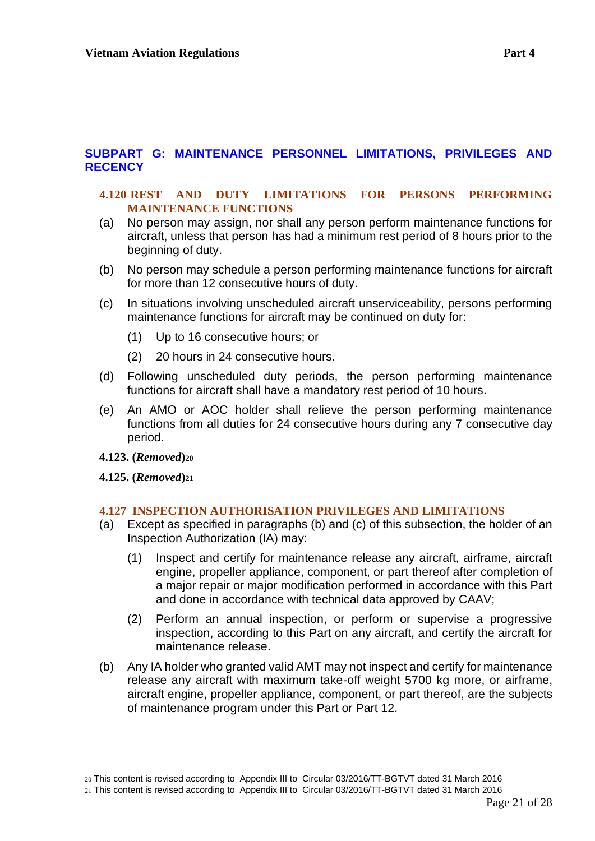## <span id="page-20-0"></span>**SUBPART G: MAINTENANCE PERSONNEL LIMITATIONS, PRIVILEGES AND RECENCY**

#### <span id="page-20-1"></span>**4.120 REST AND DUTY LIMITATIONS FOR PERSONS PERFORMING MAINTENANCE FUNCTIONS**

- (a) No person may assign, nor shall any person perform maintenance functions for aircraft, unless that person has had a minimum rest period of 8 hours prior to the beginning of duty.
- (b) No person may schedule a person performing maintenance functions for aircraft for more than 12 consecutive hours of duty.
- (c) In situations involving unscheduled aircraft unserviceability, persons performing maintenance functions for aircraft may be continued on duty for:
	- (1) Up to 16 consecutive hours; or
	- (2) 20 hours in 24 consecutive hours.
- (d) Following unscheduled duty periods, the person performing maintenance functions for aircraft shall have a mandatory rest period of 10 hours.
- (e) An AMO or AOC holder shall relieve the person performing maintenance functions from all duties for 24 consecutive hours during any 7 consecutive day period.
- **4.123. (***Removed***)<sup>20</sup>**
- **4.125. (***Removed***)<sup>21</sup>**

#### <span id="page-20-2"></span>**4.127 INSPECTION AUTHORISATION PRIVILEGES AND LIMITATIONS**

- (a) Except as specified in paragraphs (b) and (c) of this subsection, the holder of an Inspection Authorization (IA) may:
	- (1) Inspect and certify for maintenance release any aircraft, airframe, aircraft engine, propeller appliance, component, or part thereof after completion of a major repair or major modification performed in accordance with this Part and done in accordance with technical data approved by CAAV;
	- (2) Perform an annual inspection, or perform or supervise a progressive inspection, according to this Part on any aircraft, and certify the aircraft for maintenance release.
- (b) Any IA holder who granted valid AMT may not inspect and certify for maintenance release any aircraft with maximum take-off weight 5700 kg more, or airframe, aircraft engine, propeller appliance, component, or part thereof, are the subjects of maintenance program under this Part or Part 12.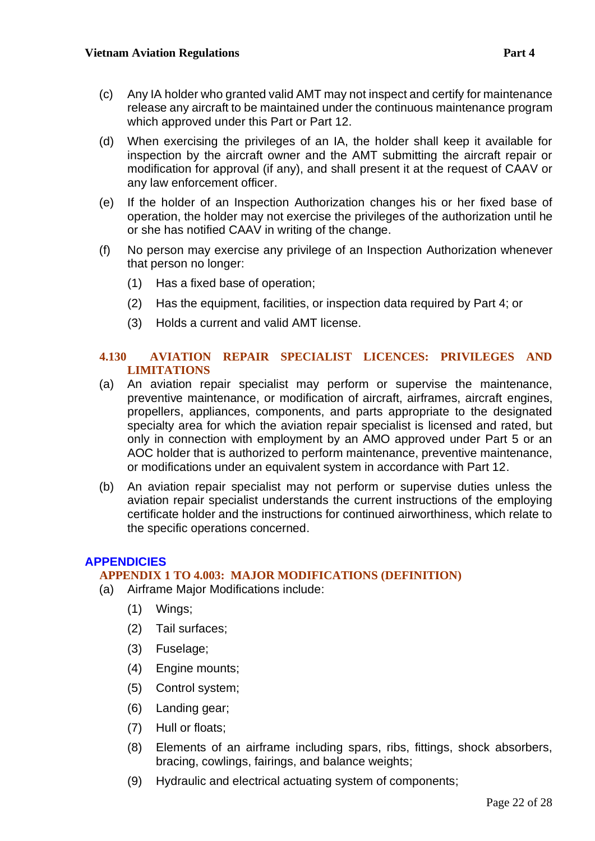- (c) Any IA holder who granted valid AMT may not inspect and certify for maintenance release any aircraft to be maintained under the continuous maintenance program which approved under this Part or Part 12.
- (d) When exercising the privileges of an IA, the holder shall keep it available for inspection by the aircraft owner and the AMT submitting the aircraft repair or modification for approval (if any), and shall present it at the request of CAAV or any law enforcement officer.
- (e) If the holder of an Inspection Authorization changes his or her fixed base of operation, the holder may not exercise the privileges of the authorization until he or she has notified CAAV in writing of the change.
- (f) No person may exercise any privilege of an Inspection Authorization whenever that person no longer:
	- (1) Has a fixed base of operation;
	- (2) Has the equipment, facilities, or inspection data required by Part 4; or
	- (3) Holds a current and valid AMT license.

#### <span id="page-21-0"></span>**4.130 AVIATION REPAIR SPECIALIST LICENCES: PRIVILEGES AND LIMITATIONS**

- (a) An aviation repair specialist may perform or supervise the maintenance, preventive maintenance, or modification of aircraft, airframes, aircraft engines, propellers, appliances, components, and parts appropriate to the designated specialty area for which the aviation repair specialist is licensed and rated, but only in connection with employment by an AMO approved under Part 5 or an AOC holder that is authorized to perform maintenance, preventive maintenance, or modifications under an equivalent system in accordance with Part 12.
- (b) An aviation repair specialist may not perform or supervise duties unless the aviation repair specialist understands the current instructions of the employing certificate holder and the instructions for continued airworthiness, which relate to the specific operations concerned.

#### <span id="page-21-1"></span>**APPENDICIES**

#### <span id="page-21-2"></span>**APPENDIX 1 TO 4.003: MAJOR MODIFICATIONS (DEFINITION)**

- (a) Airframe Major Modifications include:
	- (1) Wings;
	- (2) Tail surfaces;
	- (3) Fuselage;
	- (4) Engine mounts;
	- (5) Control system;
	- (6) Landing gear;
	- (7) Hull or floats;
	- (8) Elements of an airframe including spars, ribs, fittings, shock absorbers, bracing, cowlings, fairings, and balance weights;
	- (9) Hydraulic and electrical actuating system of components;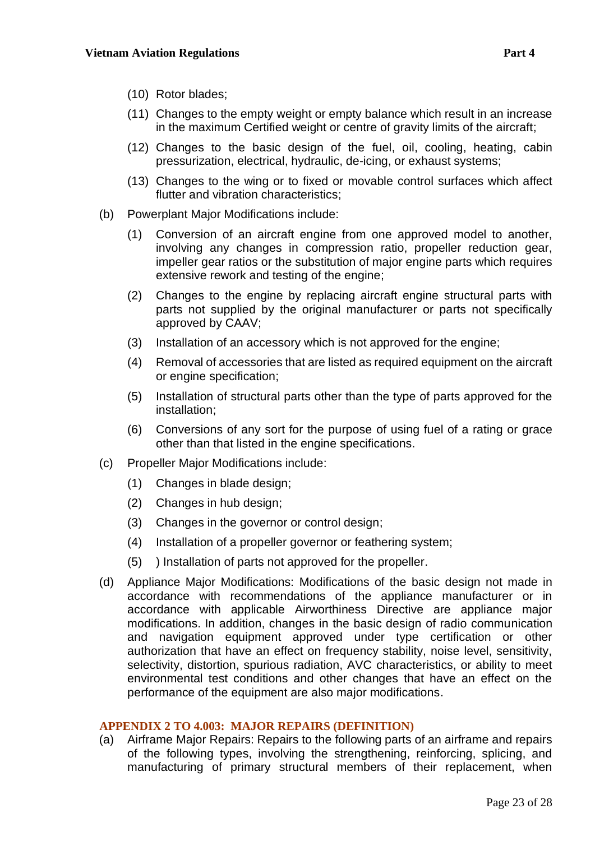- (10) Rotor blades;
- (11) Changes to the empty weight or empty balance which result in an increase in the maximum Certified weight or centre of gravity limits of the aircraft;
- (12) Changes to the basic design of the fuel, oil, cooling, heating, cabin pressurization, electrical, hydraulic, de-icing, or exhaust systems;
- (13) Changes to the wing or to fixed or movable control surfaces which affect flutter and vibration characteristics;
- (b) Powerplant Major Modifications include:
	- (1) Conversion of an aircraft engine from one approved model to another, involving any changes in compression ratio, propeller reduction gear, impeller gear ratios or the substitution of major engine parts which requires extensive rework and testing of the engine;
	- (2) Changes to the engine by replacing aircraft engine structural parts with parts not supplied by the original manufacturer or parts not specifically approved by CAAV;
	- (3) Installation of an accessory which is not approved for the engine;
	- (4) Removal of accessories that are listed as required equipment on the aircraft or engine specification;
	- (5) Installation of structural parts other than the type of parts approved for the installation;
	- (6) Conversions of any sort for the purpose of using fuel of a rating or grace other than that listed in the engine specifications.
- (c) Propeller Major Modifications include:
	- (1) Changes in blade design;
	- (2) Changes in hub design;
	- (3) Changes in the governor or control design;
	- (4) Installation of a propeller governor or feathering system;
	- (5) ) Installation of parts not approved for the propeller.
- (d) Appliance Major Modifications: Modifications of the basic design not made in accordance with recommendations of the appliance manufacturer or in accordance with applicable Airworthiness Directive are appliance major modifications. In addition, changes in the basic design of radio communication and navigation equipment approved under type certification or other authorization that have an effect on frequency stability, noise level, sensitivity, selectivity, distortion, spurious radiation, AVC characteristics, or ability to meet environmental test conditions and other changes that have an effect on the performance of the equipment are also major modifications.

#### <span id="page-22-0"></span>**APPENDIX 2 TO 4.003: MAJOR REPAIRS (DEFINITION)**

(a) Airframe Major Repairs: Repairs to the following parts of an airframe and repairs of the following types, involving the strengthening, reinforcing, splicing, and manufacturing of primary structural members of their replacement, when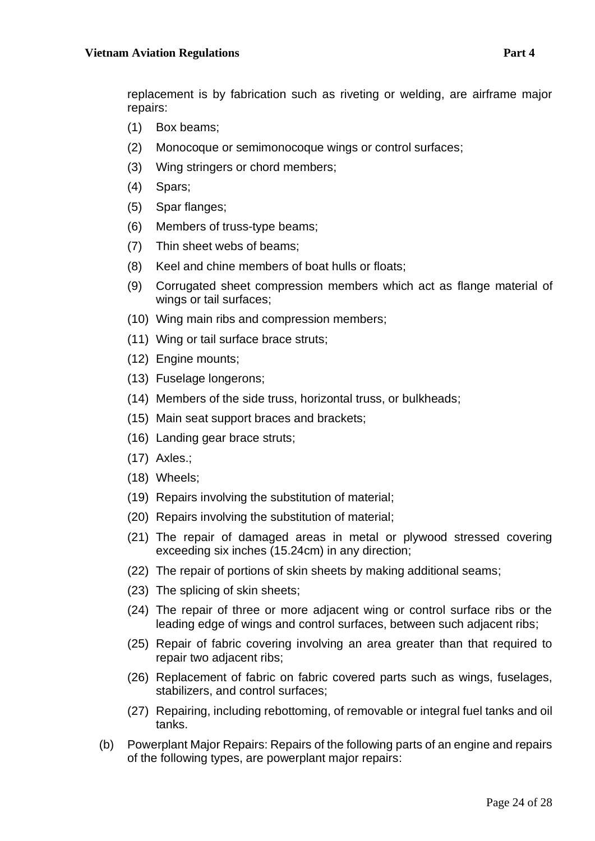replacement is by fabrication such as riveting or welding, are airframe major repairs:

- (1) Box beams;
- (2) Monocoque or semimonocoque wings or control surfaces;
- (3) Wing stringers or chord members;
- (4) Spars;
- (5) Spar flanges;
- (6) Members of truss-type beams;
- (7) Thin sheet webs of beams;
- (8) Keel and chine members of boat hulls or floats;
- (9) Corrugated sheet compression members which act as flange material of wings or tail surfaces;
- (10) Wing main ribs and compression members;
- (11) Wing or tail surface brace struts;
- (12) Engine mounts;
- (13) Fuselage longerons;
- (14) Members of the side truss, horizontal truss, or bulkheads;
- (15) Main seat support braces and brackets;
- (16) Landing gear brace struts;
- (17) Axles.;
- (18) Wheels;
- (19) Repairs involving the substitution of material;
- (20) Repairs involving the substitution of material;
- (21) The repair of damaged areas in metal or plywood stressed covering exceeding six inches (15.24cm) in any direction;
- (22) The repair of portions of skin sheets by making additional seams;
- (23) The splicing of skin sheets;
- (24) The repair of three or more adjacent wing or control surface ribs or the leading edge of wings and control surfaces, between such adjacent ribs;
- (25) Repair of fabric covering involving an area greater than that required to repair two adjacent ribs;
- (26) Replacement of fabric on fabric covered parts such as wings, fuselages, stabilizers, and control surfaces;
- (27) Repairing, including rebottoming, of removable or integral fuel tanks and oil tanks.
- (b) Powerplant Major Repairs: Repairs of the following parts of an engine and repairs of the following types, are powerplant major repairs: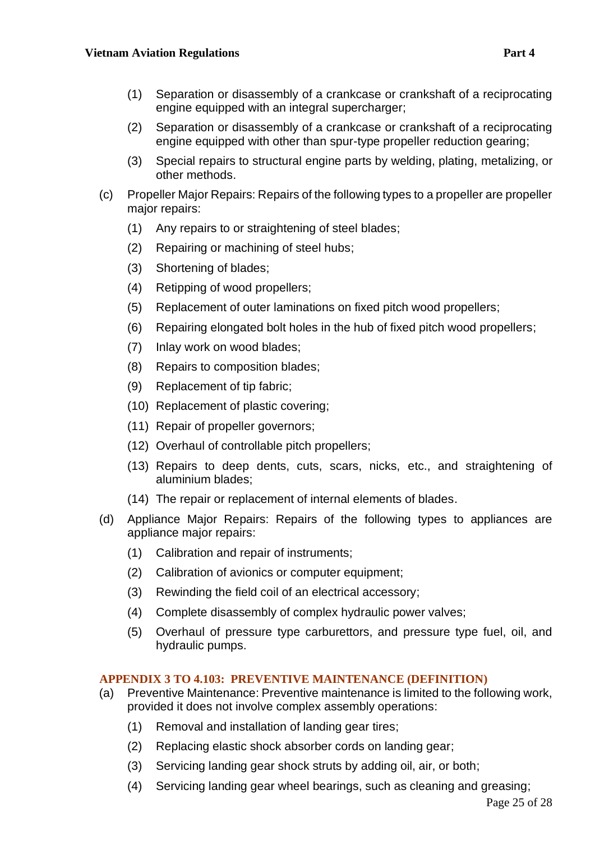- (1) Separation or disassembly of a crankcase or crankshaft of a reciprocating engine equipped with an integral supercharger;
- (2) Separation or disassembly of a crankcase or crankshaft of a reciprocating engine equipped with other than spur-type propeller reduction gearing;
- (3) Special repairs to structural engine parts by welding, plating, metalizing, or other methods.
- (c) Propeller Major Repairs: Repairs of the following types to a propeller are propeller major repairs:
	- (1) Any repairs to or straightening of steel blades;
	- (2) Repairing or machining of steel hubs;
	- (3) Shortening of blades;
	- (4) Retipping of wood propellers;
	- (5) Replacement of outer laminations on fixed pitch wood propellers;
	- (6) Repairing elongated bolt holes in the hub of fixed pitch wood propellers;
	- (7) Inlay work on wood blades;
	- (8) Repairs to composition blades;
	- (9) Replacement of tip fabric;
	- (10) Replacement of plastic covering;
	- (11) Repair of propeller governors;
	- (12) Overhaul of controllable pitch propellers;
	- (13) Repairs to deep dents, cuts, scars, nicks, etc., and straightening of aluminium blades;
	- (14) The repair or replacement of internal elements of blades.
- (d) Appliance Major Repairs: Repairs of the following types to appliances are appliance major repairs:
	- (1) Calibration and repair of instruments;
	- (2) Calibration of avionics or computer equipment;
	- (3) Rewinding the field coil of an electrical accessory;
	- (4) Complete disassembly of complex hydraulic power valves;
	- (5) Overhaul of pressure type carburettors, and pressure type fuel, oil, and hydraulic pumps.

# <span id="page-24-0"></span>**APPENDIX 3 TO 4.103: PREVENTIVE MAINTENANCE (DEFINITION)**

- (a) Preventive Maintenance: Preventive maintenance is limited to the following work, provided it does not involve complex assembly operations:
	- (1) Removal and installation of landing gear tires;
	- (2) Replacing elastic shock absorber cords on landing gear;
	- (3) Servicing landing gear shock struts by adding oil, air, or both;
	- (4) Servicing landing gear wheel bearings, such as cleaning and greasing;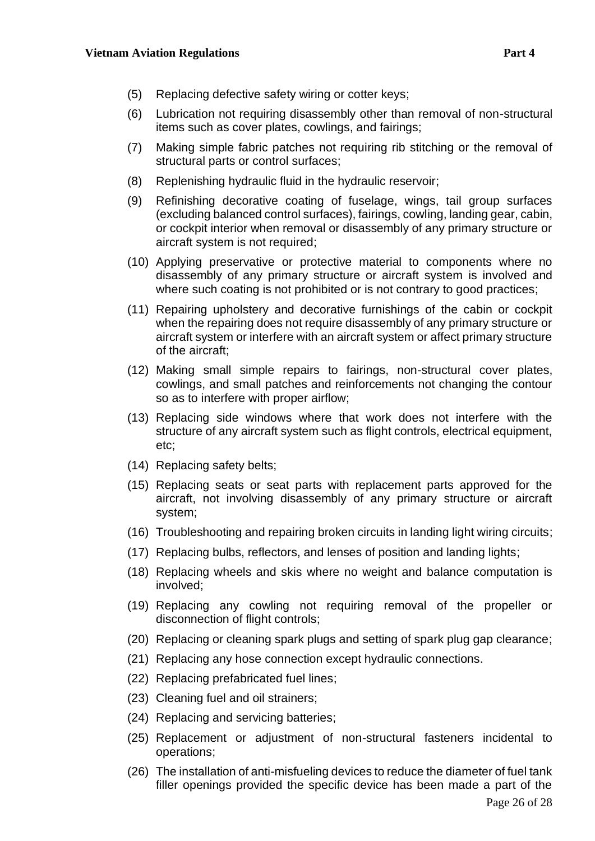- (5) Replacing defective safety wiring or cotter keys;
- (6) Lubrication not requiring disassembly other than removal of non-structural items such as cover plates, cowlings, and fairings;
- (7) Making simple fabric patches not requiring rib stitching or the removal of structural parts or control surfaces;
- (8) Replenishing hydraulic fluid in the hydraulic reservoir;
- (9) Refinishing decorative coating of fuselage, wings, tail group surfaces (excluding balanced control surfaces), fairings, cowling, landing gear, cabin, or cockpit interior when removal or disassembly of any primary structure or aircraft system is not required;
- (10) Applying preservative or protective material to components where no disassembly of any primary structure or aircraft system is involved and where such coating is not prohibited or is not contrary to good practices;
- (11) Repairing upholstery and decorative furnishings of the cabin or cockpit when the repairing does not require disassembly of any primary structure or aircraft system or interfere with an aircraft system or affect primary structure of the aircraft;
- (12) Making small simple repairs to fairings, non-structural cover plates, cowlings, and small patches and reinforcements not changing the contour so as to interfere with proper airflow;
- (13) Replacing side windows where that work does not interfere with the structure of any aircraft system such as flight controls, electrical equipment, etc;
- (14) Replacing safety belts;
- (15) Replacing seats or seat parts with replacement parts approved for the aircraft, not involving disassembly of any primary structure or aircraft system;
- (16) Troubleshooting and repairing broken circuits in landing light wiring circuits;
- (17) Replacing bulbs, reflectors, and lenses of position and landing lights;
- (18) Replacing wheels and skis where no weight and balance computation is involved;
- (19) Replacing any cowling not requiring removal of the propeller or disconnection of flight controls;
- (20) Replacing or cleaning spark plugs and setting of spark plug gap clearance;
- (21) Replacing any hose connection except hydraulic connections.
- (22) Replacing prefabricated fuel lines;
- (23) Cleaning fuel and oil strainers;
- (24) Replacing and servicing batteries;
- (25) Replacement or adjustment of non-structural fasteners incidental to operations;
- (26) The installation of anti-misfueling devices to reduce the diameter of fuel tank filler openings provided the specific device has been made a part of the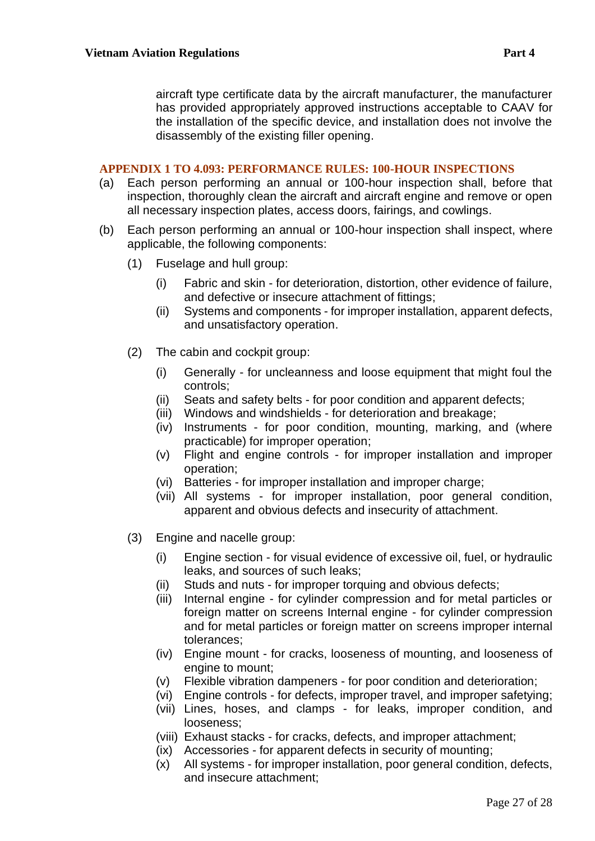aircraft type certificate data by the aircraft manufacturer, the manufacturer has provided appropriately approved instructions acceptable to CAAV for the installation of the specific device, and installation does not involve the disassembly of the existing filler opening.

#### <span id="page-26-0"></span>**APPENDIX 1 TO 4.093: PERFORMANCE RULES: 100-HOUR INSPECTIONS**

- (a) Each person performing an annual or 100-hour inspection shall, before that inspection, thoroughly clean the aircraft and aircraft engine and remove or open all necessary inspection plates, access doors, fairings, and cowlings.
- (b) Each person performing an annual or 100-hour inspection shall inspect, where applicable, the following components:
	- (1) Fuselage and hull group:
		- (i) Fabric and skin for deterioration, distortion, other evidence of failure, and defective or insecure attachment of fittings;
		- (ii) Systems and components for improper installation, apparent defects, and unsatisfactory operation.
	- (2) The cabin and cockpit group:
		- (i) Generally for uncleanness and loose equipment that might foul the controls;
		- (ii) Seats and safety belts for poor condition and apparent defects;
		- (iii) Windows and windshields for deterioration and breakage;
		- (iv) Instruments for poor condition, mounting, marking, and (where practicable) for improper operation;
		- (v) Flight and engine controls for improper installation and improper operation;
		- (vi) Batteries for improper installation and improper charge;
		- (vii) All systems for improper installation, poor general condition, apparent and obvious defects and insecurity of attachment.
	- (3) Engine and nacelle group:
		- (i) Engine section for visual evidence of excessive oil, fuel, or hydraulic leaks, and sources of such leaks;
		- (ii) Studs and nuts for improper torquing and obvious defects;
		- (iii) Internal engine for cylinder compression and for metal particles or foreign matter on screens Internal engine - for cylinder compression and for metal particles or foreign matter on screens improper internal tolerances;
		- (iv) Engine mount for cracks, looseness of mounting, and looseness of engine to mount;
		- (v) Flexible vibration dampeners for poor condition and deterioration;
		- (vi) Engine controls for defects, improper travel, and improper safetying;
		- (vii) Lines, hoses, and clamps for leaks, improper condition, and looseness;
		- (viii) Exhaust stacks for cracks, defects, and improper attachment;
		- (ix) Accessories for apparent defects in security of mounting;
		- (x) All systems for improper installation, poor general condition, defects, and insecure attachment;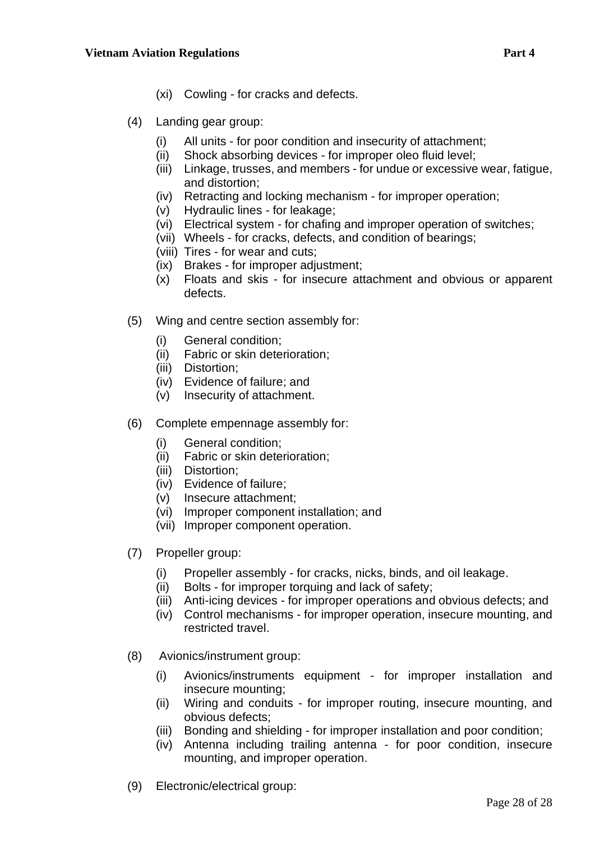- (xi) Cowling for cracks and defects.
- (4) Landing gear group:
	- (i) All units for poor condition and insecurity of attachment;
	- (ii) Shock absorbing devices for improper oleo fluid level;
	- (iii) Linkage, trusses, and members for undue or excessive wear, fatigue, and distortion;
	- (iv) Retracting and locking mechanism for improper operation;
	- (v) Hydraulic lines for leakage;
	- (vi) Electrical system for chafing and improper operation of switches;
	- (vii) Wheels for cracks, defects, and condition of bearings;
	- (viii) Tires for wear and cuts;
	- (ix) Brakes for improper adjustment;
	- (x) Floats and skis for insecure attachment and obvious or apparent defects.
- (5) Wing and centre section assembly for:
	- (i) General condition;
	- (ii) Fabric or skin deterioration;
	- (iii) Distortion;
	- (iv) Evidence of failure; and
	- (v) Insecurity of attachment.
- (6) Complete empennage assembly for:
	- (i) General condition;
	- (ii) Fabric or skin deterioration;
	- (iii) Distortion;
	- (iv) Evidence of failure;
	- (v) Insecure attachment;
	- (vi) Improper component installation; and
	- (vii) Improper component operation.
- (7) Propeller group:
	- (i) Propeller assembly for cracks, nicks, binds, and oil leakage.
	- (ii) Bolts for improper torquing and lack of safety;
	- (iii) Anti-icing devices for improper operations and obvious defects; and
	- (iv) Control mechanisms for improper operation, insecure mounting, and restricted travel.
- (8) Avionics/instrument group:
	- (i) Avionics/instruments equipment for improper installation and insecure mounting;
	- (ii) Wiring and conduits for improper routing, insecure mounting, and obvious defects;
	- (iii) Bonding and shielding for improper installation and poor condition;
	- (iv) Antenna including trailing antenna for poor condition, insecure mounting, and improper operation.
- (9) Electronic/electrical group: